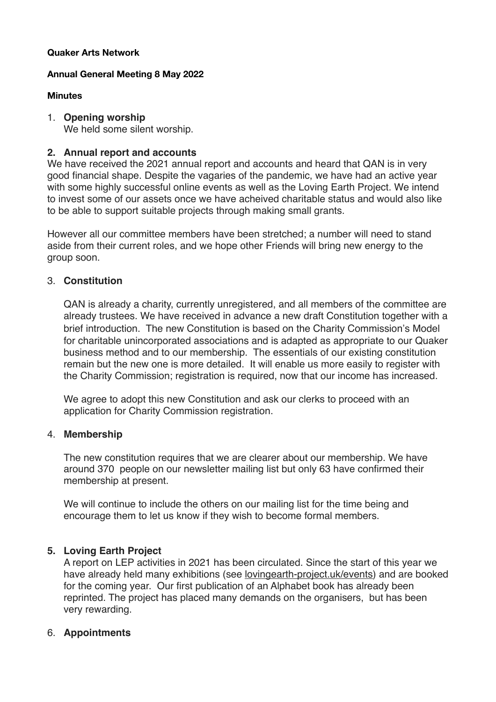#### **Quaker Arts Network**

#### **Annual General Meeting 8 May 2022**

### **Minutes**

### 1. **Opening worship**

We held some silent worship.

# **2. Annual report and accounts**

We have received the 2021 annual report and accounts and heard that QAN is in very good financial shape. Despite the vagaries of the pandemic, we have had an active year with some highly successful online events as well as the Loving Earth Project. We intend to invest some of our assets once we have acheived charitable status and would also like to be able to support suitable projects through making small grants.

However all our committee members have been stretched; a number will need to stand aside from their current roles, and we hope other Friends will bring new energy to the group soon.

# 3. **Constitution**

QAN is already a charity, currently unregistered, and all members of the committee are already trustees. We have received in advance a new draft Constitution together with a brief introduction. The new Constitution is based on the Charity Commission's Model for charitable unincorporated associations and is adapted as appropriate to our Quaker business method and to our membership. The essentials of our existing constitution remain but the new one is more detailed. It will enable us more easily to register with the Charity Commission; registration is required, now that our income has increased.

We agree to adopt this new Constitution and ask our clerks to proceed with an application for Charity Commission registration.

#### 4. **Membership**

The new constitution requires that we are clearer about our membership. We have around 370 people on our newsletter mailing list but only 63 have confirmed their membership at present.

We will continue to include the others on our mailing list for the time being and encourage them to let us know if they wish to become formal members.

# **5. Loving Earth Project**

A report on LEP activities in 2021 has been circulated. Since the start of this year we have already held many exhibitions (see [lovingearth-project.uk/events](http://lovingearth-project.uk/events)) and are booked for the coming year. Our first publication of an Alphabet book has already been reprinted. The project has placed many demands on the organisers, but has been very rewarding.

# 6. **Appointments**